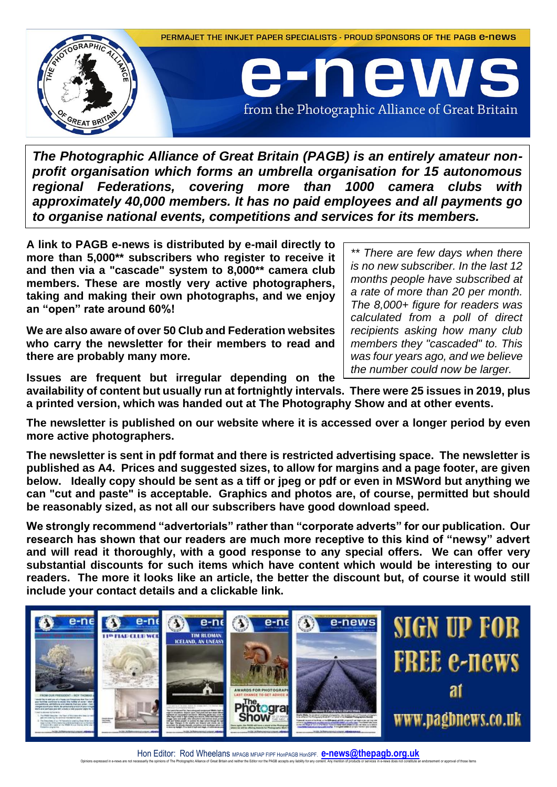

*The Photographic Alliance of Great Britain (PAGB) is an entirely amateur nonprofit organisation which forms an umbrella organisation for 15 autonomous regional Federations, covering more than 1000 camera clubs with approximately 40,000 members. It has no paid employees and all payments go to organise national events, competitions and services for its members.*

**A link to PAGB e-news is distributed by e-mail directly to more than 5,000\*\* subscribers who register to receive it and then via a "cascade" system to 8,000\*\* camera club members. These are mostly very active photographers, taking and making their own photographs, and we enjoy an "open" rate around 60%!** 

**We are also aware of over 50 Club and Federation websites who carry the newsletter for their members to read and there are probably many more.** 

*\*\* There are few days when there is no new subscriber. In the last 12 months people have subscribed at a rate of more than 20 per month. The 8,000+ figure for readers was calculated from a poll of direct recipients asking how many club members they "cascaded" to. This was four years ago, and we believe the number could now be larger.*

**Issues are frequent but irregular depending on the** 

**availability of content but usually run at fortnightly intervals. There were 25 issues in 2019, plus a printed version, which was handed out at The Photography Show and at other events.**

**The newsletter is published on our website where it is accessed over a longer period by even more active photographers.**

**The newsletter is sent in pdf format and there is restricted advertising space. The newsletter is published as A4. Prices and suggested sizes, to allow for margins and a page footer, are given below. Ideally copy should be sent as a tiff or jpeg or pdf or even in MSWord but anything we can "cut and paste" is acceptable. Graphics and photos are, of course, permitted but should be reasonably sized, as not all our subscribers have good download speed.**

**We strongly recommend "advertorials" rather than "corporate adverts" for our publication. Our research has shown that our readers are much more receptive to this kind of "newsy" advert and will read it thoroughly, with a good response to any special offers. We can offer very substantial discounts for such items which have content which would be interesting to our readers. The more it looks like an article, the better the discount but, of course it would still include your contact details and a clickable link.**

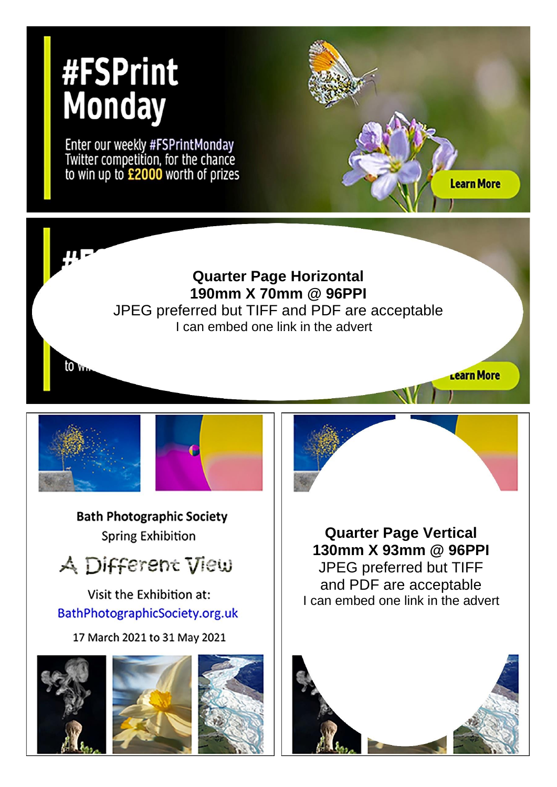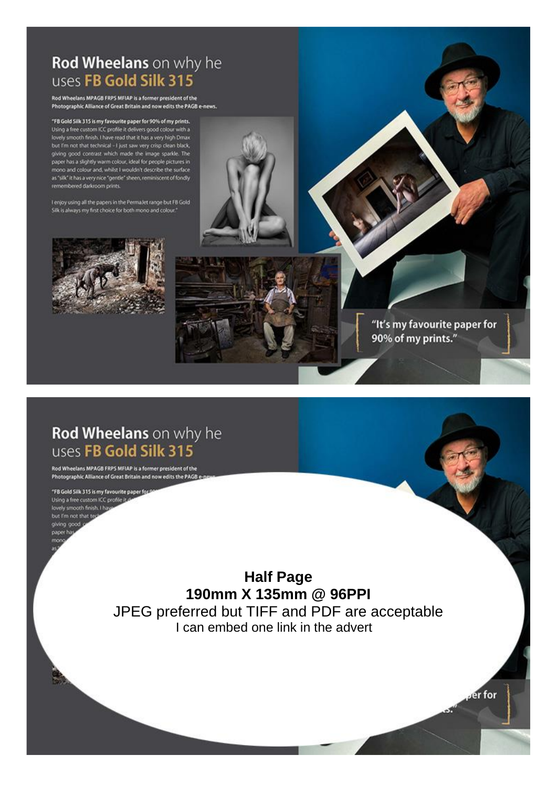## Rod Wheelans on why he uses FB Gold Silk 315

Rod Wheelans MPAGB FRPS MFIAP is a former president of the Photographic Alliance of Great Britain and now edits the PAGB e-news.

"FB Gold Silk 315 is my favourite paper for 90% of my prints.<br>Using a free custom ICC profile it delivers good colour with a lovely smooth finish. I have read that it has a very high Dmax<br>but I'm not that technical - I just saw very crisp clean black, giving good contrast which made the image sparkle. The paper has a slightly warm colour, ideal for people pictures in mono and colour and, whilst I wouldn't describe the surface. as "silk" it has a very nice "gentle" sheen, reminiscent of fondly remembered darkroom prints.

I enjoy using all the papers in the PermaJet range but FB Gold Silk is always my first choice for both mono and colour.



Rod Wheelans on why he uses FB Gold Silk 315

Rod Wheelans MPAGB FRPS MFIAP is a former president of the Photographic Alliance of Great Britain and now edits the PAGB

"FB Gold Silk 315 is my favourite paper for Using a free custom ICC profile it o lovely smooth finish. I has but I'm not that ted giving good paper ha

> **Half Page** 190mm X 135mm @ 96PPI JPEG preferred but TIFF and PDF are acceptable I can embed one link in the advert

"It's my favourite paper for 90% of my prints."

er for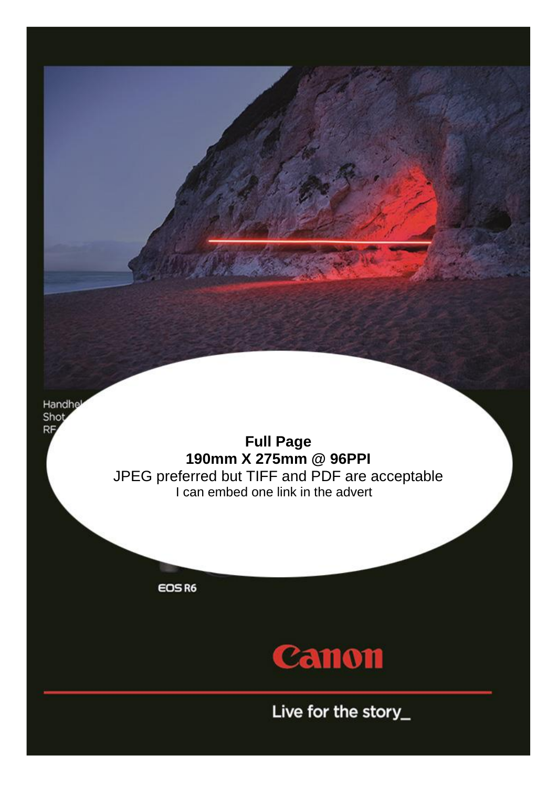Handhel Shot **RF** 

**Full Page 190mm X 275mm @ 96PPI** JPEG preferred but TIFF and PDF are acceptable I can embed one link in the advert

EOS R6



Live for the story\_